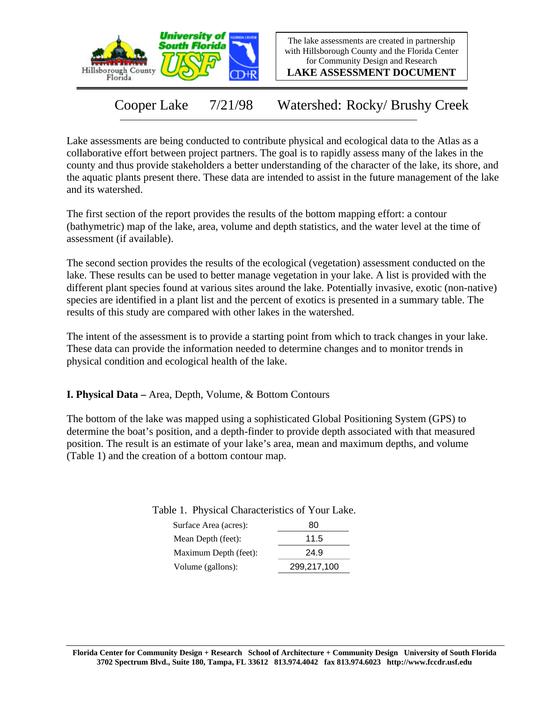



**LAKE ASSESSMENT DOCUMENT**

Cooper Lake 7/21/98 Watershed: Rocky/ Brushy Creek

Lake assessments are being conducted to contribute physical and ecological data to the Atlas as a collaborative effort between project partners. The goal is to rapidly assess many of the lakes in the county and thus provide stakeholders a better understanding of the character of the lake, its shore, and the aquatic plants present there. These data are intended to assist in the future management of the lake and its watershed.

The first section of the report provides the results of the bottom mapping effort: a contour (bathymetric) map of the lake, area, volume and depth statistics, and the water level at the time of assessment (if available).

The second section provides the results of the ecological (vegetation) assessment conducted on the lake. These results can be used to better manage vegetation in your lake. A list is provided with the different plant species found at various sites around the lake. Potentially invasive, exotic (non-native) species are identified in a plant list and the percent of exotics is presented in a summary table. The results of this study are compared with other lakes in the watershed.

The intent of the assessment is to provide a starting point from which to track changes in your lake. These data can provide the information needed to determine changes and to monitor trends in physical condition and ecological health of the lake.

**I. Physical Data –** Area, Depth, Volume, & Bottom Contours

The bottom of the lake was mapped using a sophisticated Global Positioning System (GPS) to determine the boat's position, and a depth-finder to provide depth associated with that measured position. The result is an estimate of your lake's area, mean and maximum depths, and volume (Table 1) and the creation of a bottom contour map.

|  |  | Table 1. Physical Characteristics of Your Lake. |  |  |
|--|--|-------------------------------------------------|--|--|
|  |  |                                                 |  |  |

| 80          |
|-------------|
| 11.5        |
| 24.9        |
| 299,217,100 |
|             |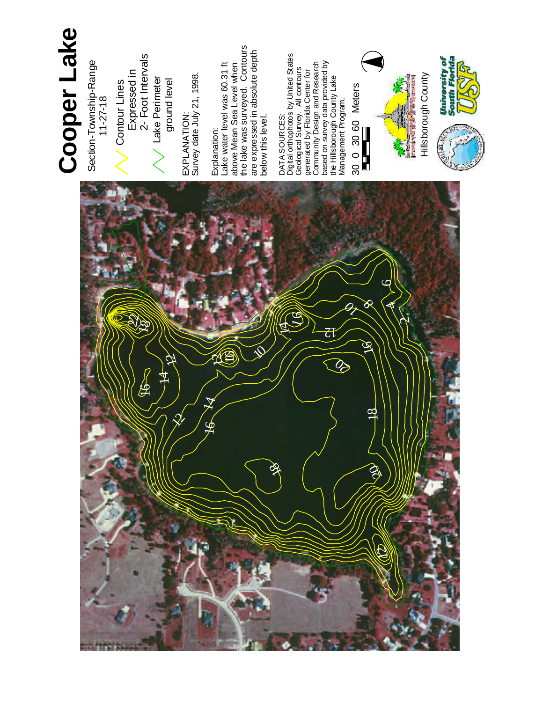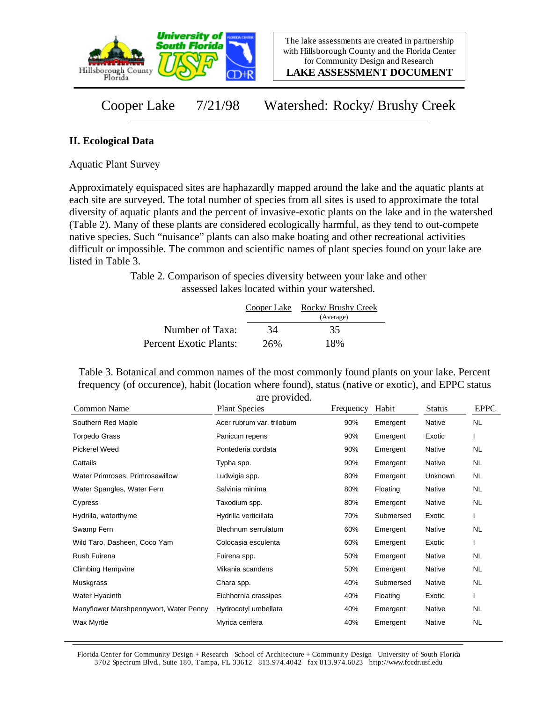

**LAKE ASSESSMENT DOCUMENT**

Cooper Lake 7/21/98 Watershed: Rocky/ Brushy Creek

## **II. Ecological Data**

Aquatic Plant Survey

Approximately equispaced sites are haphazardly mapped around the lake and the aquatic plants at each site are surveyed. The total number of species from all sites is used to approximate the total diversity of aquatic plants and the percent of invasive-exotic plants on the lake and in the watershed (Table 2). Many of these plants are considered ecologically harmful, as they tend to out-compete native species. Such "nuisance" plants can also make boating and other recreational activities difficult or impossible. The common and scientific names of plant species found on your lake are listed in Table 3.

> Table 2. Comparison of species diversity between your lake and other assessed lakes located within your watershed.

|                        |     | Cooper Lake Rocky/ Brushy Creek<br>(Average) |
|------------------------|-----|----------------------------------------------|
| Number of Taxa:        | 34  | 35                                           |
| Percent Exotic Plants: | 26% | 18%                                          |

Table 3. Botanical and common names of the most commonly found plants on your lake. Percent frequency (of occurence), habit (location where found), status (native or exotic), and EPPC status are provided.

| Common Name                            | <b>Plant Species</b>      | Frequency | Habit     | <b>Status</b> | <b>EPPC</b> |
|----------------------------------------|---------------------------|-----------|-----------|---------------|-------------|
| Southern Red Maple                     | Acer rubrum var. trilobum | 90%       | Emergent  | Native        | <b>NL</b>   |
| <b>Torpedo Grass</b>                   | Panicum repens            | 90%       | Emergent  | Exotic        |             |
| <b>Pickerel Weed</b>                   | Pontederia cordata        | 90%       | Emergent  | Native        | NL          |
| Cattails                               | Typha spp.                | 90%       | Emergent  | Native        | NL          |
| Water Primroses, Primrosewillow        | Ludwigia spp.             | 80%       | Emergent  | Unknown       | <b>NL</b>   |
| Water Spangles, Water Fern             | Salvinia minima           | 80%       | Floating  | Native        | NL          |
| Cypress                                | Taxodium spp.             | 80%       | Emergent  | Native        | <b>NL</b>   |
| Hydrilla, waterthyme                   | Hydrilla verticillata     | 70%       | Submersed | Exotic        |             |
| Swamp Fern                             | Blechnum serrulatum       | 60%       | Emergent  | Native        | NL          |
| Wild Taro, Dasheen, Coco Yam           | Colocasia esculenta       | 60%       | Emergent  | Exotic        |             |
| <b>Rush Fuirena</b>                    | Fuirena spp.              | 50%       | Emergent  | Native        | NL          |
| <b>Climbing Hempvine</b>               | Mikania scandens          | 50%       | Emergent  | Native        | NL          |
| Muskgrass                              | Chara spp.                | 40%       | Submersed | Native        | <b>NL</b>   |
| Water Hyacinth                         | Eichhornia crassipes      | 40%       | Floating  | Exotic        |             |
| Manyflower Marshpennywort, Water Penny | Hydrocotyl umbellata      | 40%       | Emergent  | Native        | NL          |
| Wax Myrtle                             | Myrica cerifera           | 40%       | Emergent  | Native        | <b>NL</b>   |

Florida Center for Community Design + Research School of Architecture + Community Design University of South Florida 3702 Spectrum Blvd., Suite 180, Tampa, FL 33612 813.974.4042 fax 813.974.6023 http://www.fccdr.usf.edu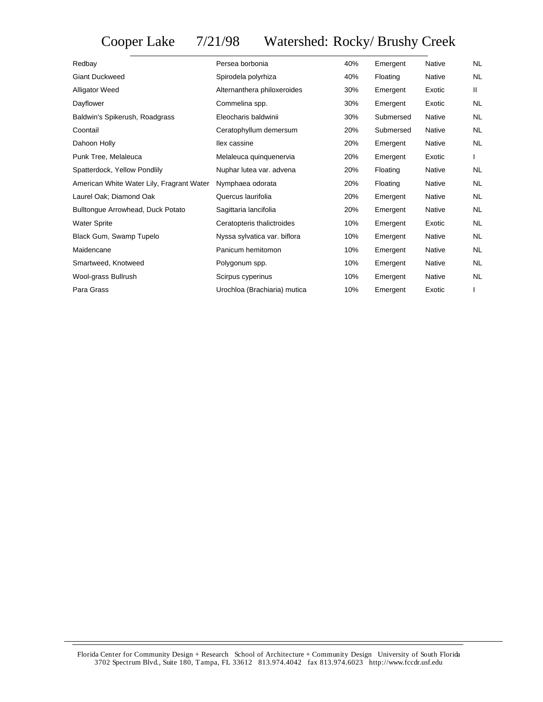## Cooper Lake 7/21/98 Watershed: Rocky/ Brushy Creek

| Redbay                                    | Persea borbonia              | 40% | Emergent  | <b>Native</b> | <b>NL</b>    |
|-------------------------------------------|------------------------------|-----|-----------|---------------|--------------|
| <b>Giant Duckweed</b>                     | Spirodela polyrhiza          | 40% | Floating  | Native        | <b>NL</b>    |
| <b>Alligator Weed</b>                     | Alternanthera philoxeroides  | 30% | Emergent  | Exotic        | $\mathbf{H}$ |
| Dayflower                                 | Commelina spp.               | 30% | Emergent  | Exotic        | <b>NL</b>    |
| Baldwin's Spikerush, Roadgrass            | Eleocharis baldwinii         | 30% | Submersed | <b>Native</b> | <b>NL</b>    |
| Coontail                                  | Ceratophyllum demersum       | 20% | Submersed | <b>Native</b> | <b>NL</b>    |
| Dahoon Holly                              | llex cassine                 | 20% | Emergent  | <b>Native</b> | <b>NL</b>    |
| Punk Tree, Melaleuca                      | Melaleuca quinquenervia      | 20% | Emergent  | Exotic        |              |
| Spatterdock, Yellow Pondlily              | Nuphar lutea var. advena     | 20% | Floating  | <b>Native</b> | <b>NL</b>    |
| American White Water Lily, Fragrant Water | Nymphaea odorata             | 20% | Floating  | Native        | <b>NL</b>    |
| Laurel Oak; Diamond Oak                   | Quercus laurifolia           | 20% | Emergent  | Native        | <b>NL</b>    |
| Bulltongue Arrowhead, Duck Potato         | Sagittaria lancifolia        | 20% | Emergent  | Native        | <b>NL</b>    |
| <b>Water Sprite</b>                       | Ceratopteris thalictroides   | 10% | Emergent  | Exotic        | <b>NL</b>    |
| Black Gum, Swamp Tupelo                   | Nyssa sylvatica var. biflora | 10% | Emergent  | <b>Native</b> | <b>NL</b>    |
| Maidencane                                | Panicum hemitomon            | 10% | Emergent  | Native        | <b>NL</b>    |
| Smartweed, Knotweed                       | Polygonum spp.               | 10% | Emergent  | <b>Native</b> | <b>NL</b>    |
| Wool-grass Bullrush                       | Scirpus cyperinus            | 10% | Emergent  | Native        | <b>NL</b>    |
| Para Grass                                | Urochloa (Brachiaria) mutica | 10% | Emergent  | Exotic        |              |